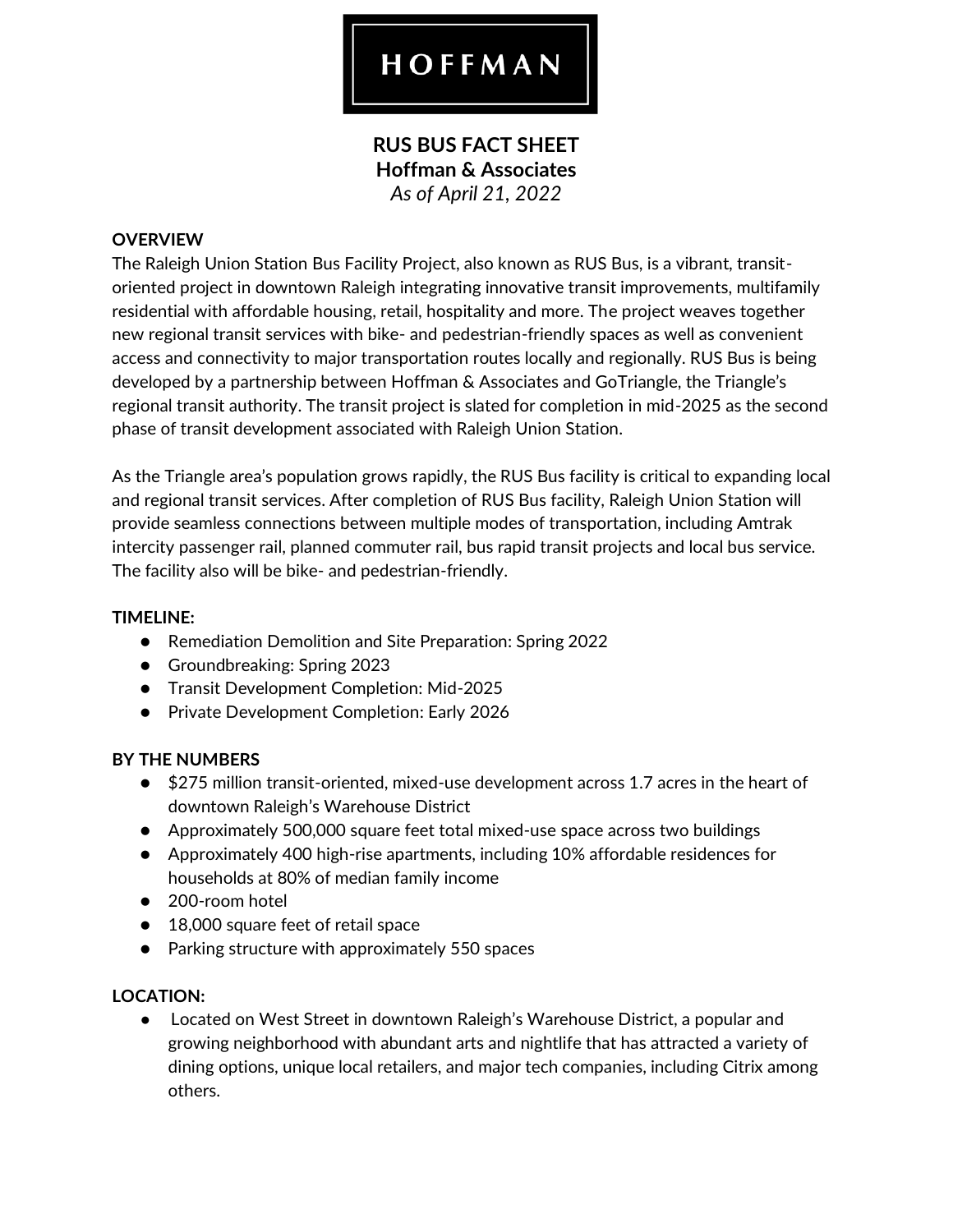# HOFFMAN

## **RUS BUS FACT SHEET Hoffman & Associates**  *As of April 21, 2022*

#### **OVERVIEW**

The Raleigh Union Station Bus Facility Project, also known as RUS Bus, is a vibrant, transitoriented project in downtown Raleigh integrating innovative transit improvements, multifamily residential with affordable housing, retail, hospitality and more. The project weaves together new regional transit services with bike- and pedestrian-friendly spaces as well as convenient access and connectivity to major transportation routes locally and regionally. RUS Bus is being developed by a partnership between Hoffman & Associates and GoTriangle, the Triangle's regional transit authority. The transit project is slated for completion in mid-2025 as the second phase of transit development associated with Raleigh Union Station.

As the Triangle area's population grows rapidly, the RUS Bus facility is critical to expanding local and regional transit services. After completion of RUS Bus facility, Raleigh Union Station will provide seamless connections between multiple modes of transportation, including Amtrak intercity passenger rail, planned commuter rail, bus rapid transit projects and local bus service. The facility also will be bike- and pedestrian-friendly.

#### **TIMELINE:**

- Remediation Demolition and Site Preparation: Spring 2022
- Groundbreaking: Spring 2023
- Transit Development Completion: Mid-2025
- Private Development Completion: Early 2026

#### **BY THE NUMBERS**

- \$275 million transit-oriented, mixed-use development across 1.7 acres in the heart of downtown Raleigh's Warehouse District
- Approximately 500,000 square feet total mixed-use space across two buildings
- Approximately 400 high-rise apartments, including 10% affordable residences for households at 80% of median family income
- 200-room hotel
- 18,000 square feet of retail space
- Parking structure with approximately 550 spaces

#### **LOCATION:**

● Located on West Street in downtown Raleigh's Warehouse District, a popular and growing neighborhood with abundant arts and nightlife that has attracted a variety of dining options, unique local retailers, and major tech companies, including Citrix among others.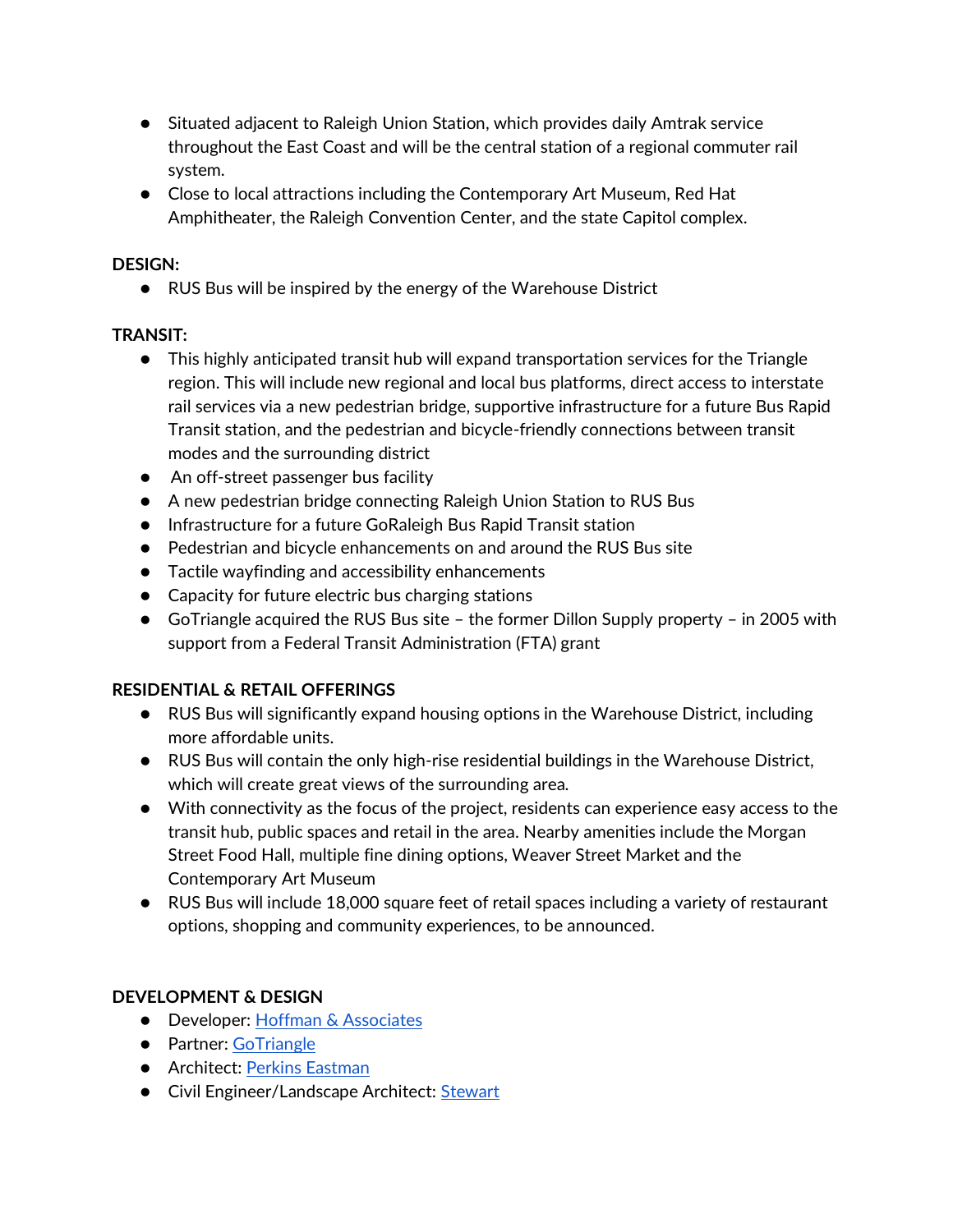- Situated adjacent to Raleigh Union Station, which provides daily Amtrak service throughout the East Coast and will be the central station of a regional commuter rail system.
- Close to local attractions including the Contemporary Art Museum, Red Hat Amphitheater, the Raleigh Convention Center, and the state Capitol complex.

#### **DESIGN:**

● RUS Bus will be inspired by the energy of the Warehouse District

## **TRANSIT:**

- This highly anticipated transit hub will expand transportation services for the Triangle region. This will include new regional and local bus platforms, direct access to interstate rail services via a new pedestrian bridge, supportive infrastructure for a future Bus Rapid Transit station, and the pedestrian and bicycle-friendly connections between transit modes and the surrounding district
- An off-street passenger bus facility
- A new pedestrian bridge connecting Raleigh Union Station to RUS Bus
- Infrastructure for a future GoRaleigh Bus Rapid Transit station
- Pedestrian and bicycle enhancements on and around the RUS Bus site
- Tactile wayfinding and accessibility enhancements
- Capacity for future electric bus charging stations
- GoTriangle acquired the RUS Bus site the former Dillon Supply property in 2005 with support from a Federal Transit Administration (FTA) grant

## **RESIDENTIAL & RETAIL OFFERINGS**

- RUS Bus will significantly expand housing options in the Warehouse District, including more affordable units.
- RUS Bus will contain the only high-rise residential buildings in the Warehouse District, which will create great views of the surrounding area.
- With connectivity as the focus of the project, residents can experience easy access to the transit hub, public spaces and retail in the area. Nearby amenities include the Morgan Street Food Hall, multiple fine dining options, Weaver Street Market and the Contemporary Art Museum
- RUS Bus will include 18,000 square feet of retail spaces including a variety of restaurant options, shopping and community experiences, to be announced.

## **DEVELOPMENT & DESIGN**

- Developer: [Hoffman & Associates](https://www.hoffman-dev.com/)
- Partner: [GoTriangle](https://gotriangle.org/)
- Architect: [Perkins Eastman](https://www.perkinseastman.com/)
- Civil Engineer/Landscape Architect: [Stewart](https://stewartinc.com/)